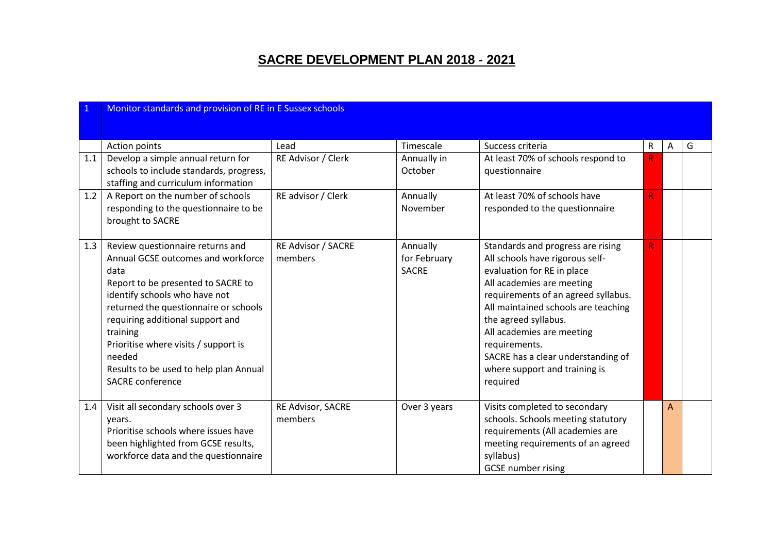## **SACRE DEVELOPMENT PLAN 2018 - 2021**

|            | Monitor standards and provision of RE in E Sussex schools                                                                                                                                                                                                                                                                                                             |                                                  |                                                             |                                                                                                                                                                                                                                                                                                                                                                        |                    |   |   |  |  |  |
|------------|-----------------------------------------------------------------------------------------------------------------------------------------------------------------------------------------------------------------------------------------------------------------------------------------------------------------------------------------------------------------------|--------------------------------------------------|-------------------------------------------------------------|------------------------------------------------------------------------------------------------------------------------------------------------------------------------------------------------------------------------------------------------------------------------------------------------------------------------------------------------------------------------|--------------------|---|---|--|--|--|
| 1.1<br>1.2 | Action points<br>Develop a simple annual return for<br>schools to include standards, progress,<br>staffing and curriculum information<br>A Report on the number of schools<br>responding to the questionnaire to be<br>brought to SACRE                                                                                                                               | Lead<br>RE Advisor / Clerk<br>RE advisor / Clerk | Timescale<br>Annually in<br>October<br>Annually<br>November | Success criteria<br>At least 70% of schools respond to<br>questionnaire<br>At least 70% of schools have<br>responded to the questionnaire                                                                                                                                                                                                                              | $\mathsf{R}$<br>R. | A | G |  |  |  |
| 1.3        | Review questionnaire returns and<br>Annual GCSE outcomes and workforce<br>data<br>Report to be presented to SACRE to<br>identify schools who have not<br>returned the questionnaire or schools<br>requiring additional support and<br>training<br>Prioritise where visits / support is<br>needed<br>Results to be used to help plan Annual<br><b>SACRE</b> conference | <b>RE Advisor / SACRE</b><br>members             | Annually<br>for February<br><b>SACRE</b>                    | Standards and progress are rising<br>All schools have rigorous self-<br>evaluation for RE in place<br>All academies are meeting<br>requirements of an agreed syllabus.<br>All maintained schools are teaching<br>the agreed syllabus.<br>All academies are meeting<br>requirements.<br>SACRE has a clear understanding of<br>where support and training is<br>required | R.                 |   |   |  |  |  |
| 1.4        | Visit all secondary schools over 3<br>years.<br>Prioritise schools where issues have<br>been highlighted from GCSE results,<br>workforce data and the questionnaire                                                                                                                                                                                                   | RE Advisor, SACRE<br>members                     | Over 3 years                                                | Visits completed to secondary<br>schools. Schools meeting statutory<br>requirements (All academies are<br>meeting requirements of an agreed<br>syllabus)<br><b>GCSE</b> number rising                                                                                                                                                                                  |                    | A |   |  |  |  |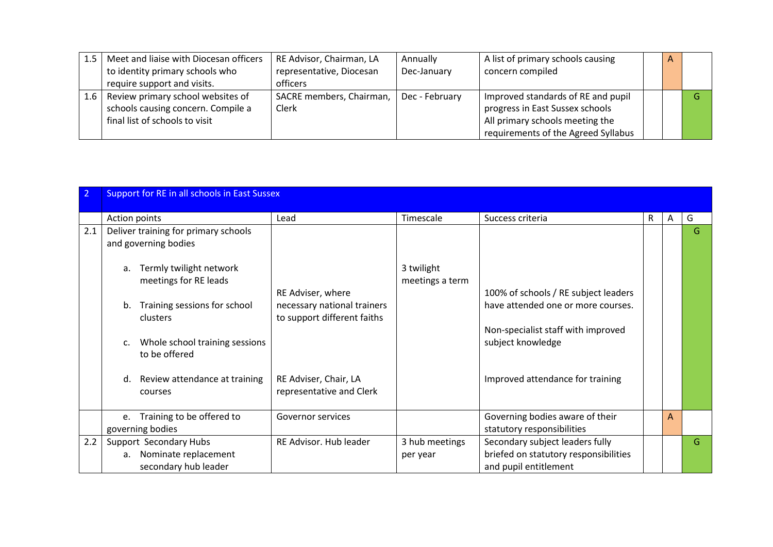| 1.5 | Meet and liaise with Diocesan officers | RE Advisor, Chairman, LA | Annually       | A list of primary schools causing   | $\mathsf{A}$ |  |
|-----|----------------------------------------|--------------------------|----------------|-------------------------------------|--------------|--|
|     | to identity primary schools who        | representative, Diocesan | Dec-January    | concern compiled                    |              |  |
|     | require support and visits.            | officers                 |                |                                     |              |  |
| 1.6 | Review primary school websites of      | SACRE members, Chairman, | Dec - February | Improved standards of RE and pupil  |              |  |
|     | schools causing concern. Compile a     | Clerk                    |                | progress in East Sussex schools     |              |  |
|     | final list of schools to visit         |                          |                | All primary schools meeting the     |              |  |
|     |                                        |                          |                | requirements of the Agreed Syllabus |              |  |

|     | <b>Support for RE in all schools in East Sussex</b>                                                                                                                                                                                                                                 |                                                                                                                                      |                               |                                                                                                                                                                           |   |   |    |  |  |  |
|-----|-------------------------------------------------------------------------------------------------------------------------------------------------------------------------------------------------------------------------------------------------------------------------------------|--------------------------------------------------------------------------------------------------------------------------------------|-------------------------------|---------------------------------------------------------------------------------------------------------------------------------------------------------------------------|---|---|----|--|--|--|
|     | Action points                                                                                                                                                                                                                                                                       | Lead                                                                                                                                 | Timescale                     | Success criteria                                                                                                                                                          | R | A | G  |  |  |  |
| 2.1 | Deliver training for primary schools<br>and governing bodies<br>Termly twilight network<br>a.<br>meetings for RE leads<br>Training sessions for school<br>b.<br>clusters<br>Whole school training sessions<br>c.<br>to be offered<br>Review attendance at training<br>d.<br>courses | RE Adviser, where<br>necessary national trainers<br>to support different faiths<br>RE Adviser, Chair, LA<br>representative and Clerk | 3 twilight<br>meetings a term | 100% of schools / RE subject leaders<br>have attended one or more courses.<br>Non-specialist staff with improved<br>subject knowledge<br>Improved attendance for training |   |   | G  |  |  |  |
|     |                                                                                                                                                                                                                                                                                     |                                                                                                                                      |                               |                                                                                                                                                                           |   |   |    |  |  |  |
|     | Training to be offered to<br>e.<br>governing bodies                                                                                                                                                                                                                                 | Governor services                                                                                                                    |                               | Governing bodies aware of their<br>statutory responsibilities                                                                                                             |   | A |    |  |  |  |
| 2.2 | Support Secondary Hubs<br>Nominate replacement<br>a.<br>secondary hub leader                                                                                                                                                                                                        | RE Advisor. Hub leader                                                                                                               | 3 hub meetings<br>per year    | Secondary subject leaders fully<br>briefed on statutory responsibilities<br>and pupil entitlement                                                                         |   |   | G. |  |  |  |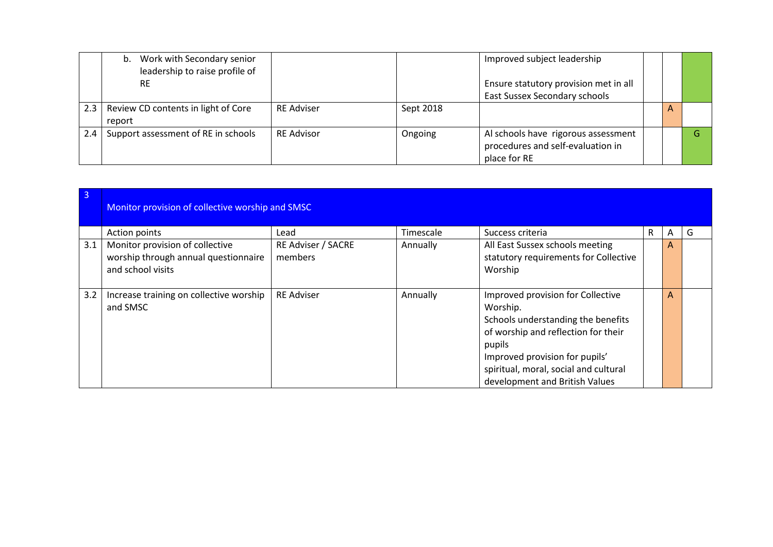|     | Work with Secondary senior<br>b.<br>leadership to raise profile of<br><b>RE</b> |                   |           | Improved subject leadership<br>Ensure statutory provision met in all<br>East Sussex Secondary schools |   |  |
|-----|---------------------------------------------------------------------------------|-------------------|-----------|-------------------------------------------------------------------------------------------------------|---|--|
| 2.3 | Review CD contents in light of Core<br>report                                   | <b>RE Adviser</b> | Sept 2018 |                                                                                                       | A |  |
| 2.4 | Support assessment of RE in schools                                             | <b>RE Advisor</b> | Ongoing   | Al schools have rigorous assessment<br>procedures and self-evaluation in<br>place for RE              |   |  |

| $\overline{3}$ | Monitor provision of collective worship and SMSC                                             |                               |           |                                                                                                                                                                                                                                                   |   |   |   |  |  |  |
|----------------|----------------------------------------------------------------------------------------------|-------------------------------|-----------|---------------------------------------------------------------------------------------------------------------------------------------------------------------------------------------------------------------------------------------------------|---|---|---|--|--|--|
|                | Action points                                                                                | Lead                          | Timescale | Success criteria                                                                                                                                                                                                                                  | R | A | G |  |  |  |
| 3.1            | Monitor provision of collective<br>worship through annual questionnaire<br>and school visits | RE Adviser / SACRE<br>members | Annually  | All East Sussex schools meeting<br>statutory requirements for Collective<br>Worship                                                                                                                                                               |   | A |   |  |  |  |
| 3.2            | Increase training on collective worship<br>and SMSC                                          | <b>RE Adviser</b>             | Annually  | Improved provision for Collective<br>Worship.<br>Schools understanding the benefits<br>of worship and reflection for their<br>pupils<br>Improved provision for pupils'<br>spiritual, moral, social and cultural<br>development and British Values |   | A |   |  |  |  |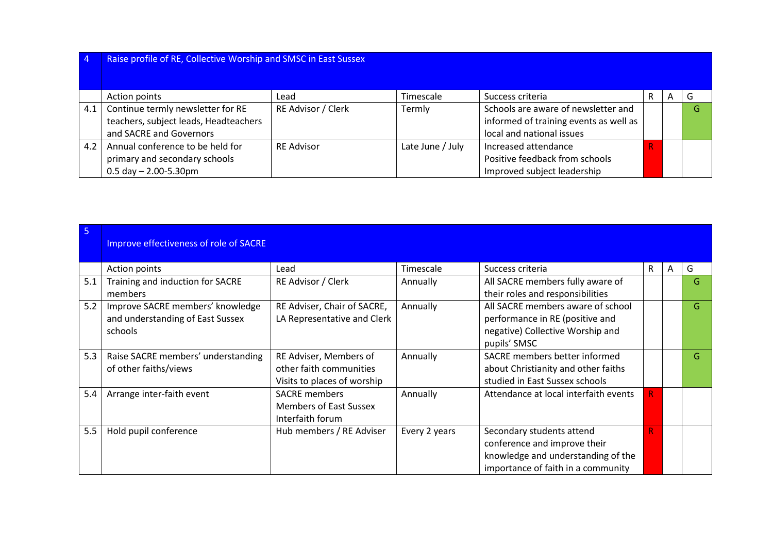| $\overline{4}$ | Raise profile of RE, Collective Worship and SMSC in East Sussex |                    |                  |                                        |   |   |   |
|----------------|-----------------------------------------------------------------|--------------------|------------------|----------------------------------------|---|---|---|
|                | Action points                                                   | Lead               | Timescale        | Success criteria                       | R | A | G |
| 4.1            | Continue termly newsletter for RE                               | RE Advisor / Clerk | Termly           | Schools are aware of newsletter and    |   |   | G |
|                | teachers, subject leads, Headteachers                           |                    |                  | informed of training events as well as |   |   |   |
|                | and SACRE and Governors                                         |                    |                  | local and national issues              |   |   |   |
| 4.2            | Annual conference to be held for                                | <b>RE Advisor</b>  | Late June / July | Increased attendance                   |   |   |   |
|                | primary and secondary schools                                   |                    |                  | Positive feedback from schools         |   |   |   |
|                | $0.5$ day $- 2.00 - 5.30$ pm                                    |                    |                  | Improved subject leadership            |   |   |   |

| -5  | Improve effectiveness of role of SACRE                                          |                                                                                  |               |                                                                                                                                       |    |   |    |
|-----|---------------------------------------------------------------------------------|----------------------------------------------------------------------------------|---------------|---------------------------------------------------------------------------------------------------------------------------------------|----|---|----|
|     | Action points                                                                   | Lead                                                                             | Timescale     | Success criteria                                                                                                                      | R  | A | G  |
| 5.1 | Training and induction for SACRE<br>members                                     | RE Advisor / Clerk                                                               | Annually      | All SACRE members fully aware of<br>their roles and responsibilities                                                                  |    |   | G  |
| 5.2 | Improve SACRE members' knowledge<br>and understanding of East Sussex<br>schools | RE Adviser, Chair of SACRE,<br>LA Representative and Clerk                       | Annually      | All SACRE members aware of school<br>performance in RE (positive and<br>negative) Collective Worship and<br>pupils' SMSC              |    |   | G. |
| 5.3 | Raise SACRE members' understanding<br>of other faiths/views                     | RE Adviser, Members of<br>other faith communities<br>Visits to places of worship | Annually      | SACRE members better informed<br>about Christianity and other faiths<br>studied in East Sussex schools                                |    |   | G. |
| 5.4 | Arrange inter-faith event                                                       | <b>SACRE</b> members<br><b>Members of East Sussex</b><br>Interfaith forum        | Annually      | Attendance at local interfaith events                                                                                                 |    |   |    |
| 5.5 | Hold pupil conference                                                           | Hub members / RE Adviser                                                         | Every 2 years | Secondary students attend<br>conference and improve their<br>knowledge and understanding of the<br>importance of faith in a community | R. |   |    |